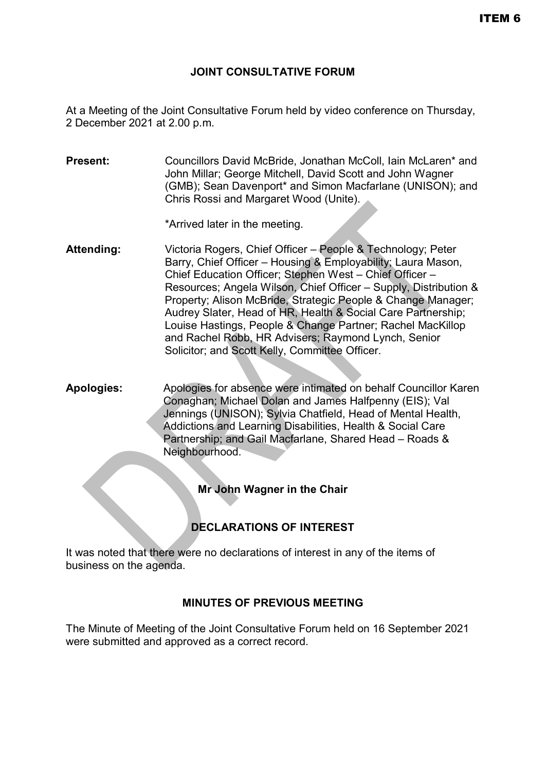### **JOINT CONSULTATIVE FORUM**

At a Meeting of the Joint Consultative Forum held by video conference on Thursday, 2 December 2021 at 2.00 p.m.

**Present:** Councillors David McBride, Jonathan McColl, Iain McLaren\* and John Millar; George Mitchell, David Scott and John Wagner (GMB); Sean Davenport\* and Simon Macfarlane (UNISON); and Chris Rossi and Margaret Wood (Unite).

\*Arrived later in the meeting.

- **Attending:** Victoria Rogers, Chief Officer People & Technology; Peter Barry, Chief Officer – Housing & Employability; Laura Mason, Chief Education Officer; Stephen West – Chief Officer – Resources; Angela Wilson, Chief Officer – Supply, Distribution & Property; Alison McBride, Strategic People & Change Manager; Audrey Slater, Head of HR, Health & Social Care Partnership; Louise Hastings, People & Change Partner; Rachel MacKillop and Rachel Robb, HR Advisers; Raymond Lynch, Senior Solicitor; and Scott Kelly, Committee Officer.
- **Apologies:** Apologies for absence were intimated on behalf Councillor Karen Conaghan; Michael Dolan and James Halfpenny (EIS); Val Jennings (UNISON); Sylvia Chatfield, Head of Mental Health, Addictions and Learning Disabilities, Health & Social Care Partnership; and Gail Macfarlane, Shared Head – Roads & Neighbourhood.

**Mr John Wagner in the Chair**

# **DECLARATIONS OF INTEREST**

It was noted that there were no declarations of interest in any of the items of business on the agenda.

## **MINUTES OF PREVIOUS MEETING**

The Minute of Meeting of the Joint Consultative Forum held on 16 September 2021 were submitted and approved as a correct record.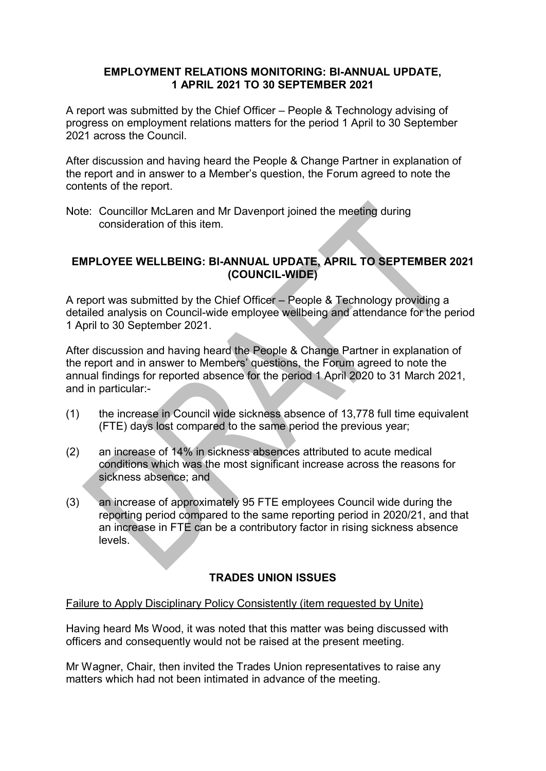#### **EMPLOYMENT RELATIONS MONITORING: BI-ANNUAL UPDATE, 1 APRIL 2021 TO 30 SEPTEMBER 2021**

A report was submitted by the Chief Officer – People & Technology advising of progress on employment relations matters for the period 1 April to 30 September 2021 across the Council.

After discussion and having heard the People & Change Partner in explanation of the report and in answer to a Member's question, the Forum agreed to note the contents of the report.

Note: Councillor McLaren and Mr Davenport joined the meeting during consideration of this item.

#### **EMPLOYEE WELLBEING: BI-ANNUAL UPDATE, APRIL TO SEPTEMBER 2021 (COUNCIL-WIDE)**

A report was submitted by the Chief Officer – People & Technology providing a detailed analysis on Council-wide employee wellbeing and attendance for the period 1 April to 30 September 2021.

After discussion and having heard the People & Change Partner in explanation of the report and in answer to Members' questions, the Forum agreed to note the annual findings for reported absence for the period 1 April 2020 to 31 March 2021, and in particular:-

- (1) the increase in Council wide sickness absence of 13,778 full time equivalent (FTE) days lost compared to the same period the previous year;
- (2) an increase of 14% in sickness absences attributed to acute medical conditions which was the most significant increase across the reasons for sickness absence; and
- (3) an increase of approximately 95 FTE employees Council wide during the reporting period compared to the same reporting period in 2020/21, and that an increase in FTE can be a contributory factor in rising sickness absence levels.

## **TRADES UNION ISSUES**

#### Failure to Apply Disciplinary Policy Consistently (item requested by Unite)

Having heard Ms Wood, it was noted that this matter was being discussed with officers and consequently would not be raised at the present meeting.

Mr Wagner, Chair, then invited the Trades Union representatives to raise any matters which had not been intimated in advance of the meeting.